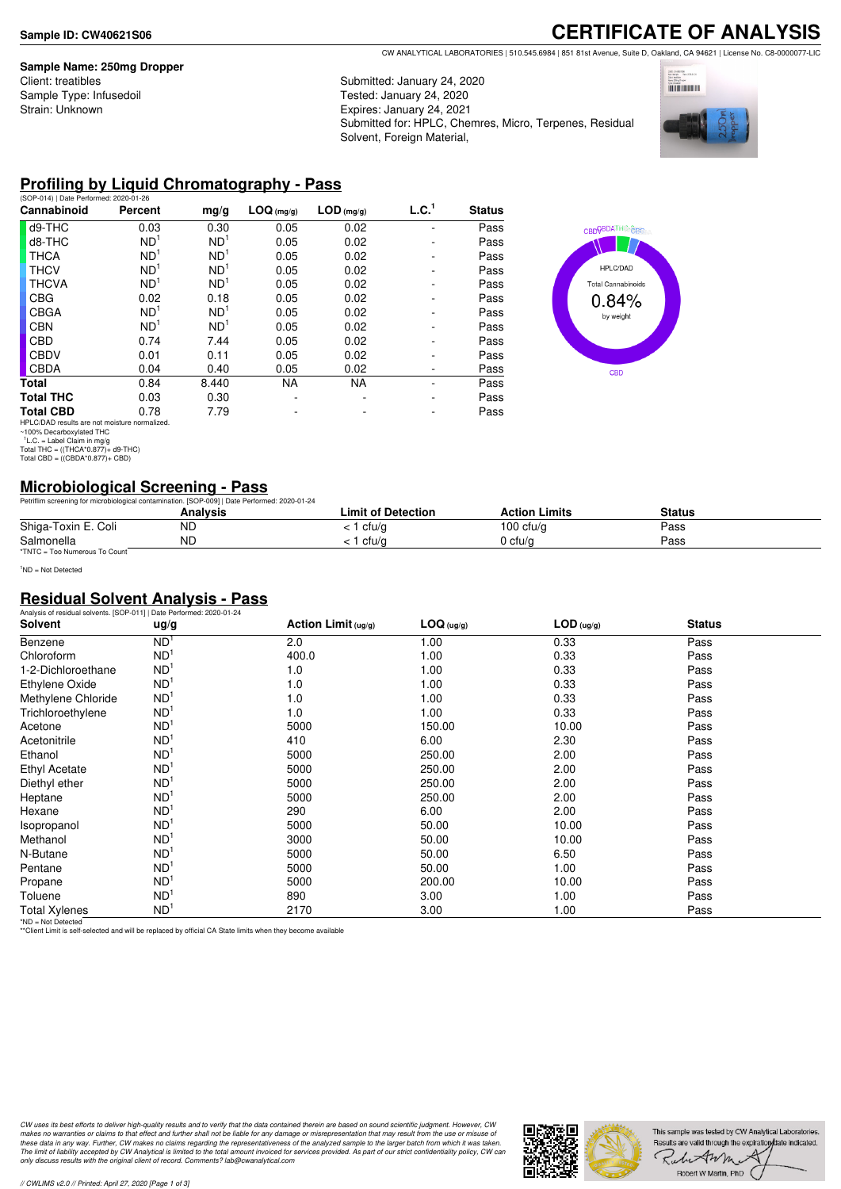#### **Sample Name: 250mg Dropper**

Client: treatibles Sample Type: Infusedoil Strain: Unknown

## **CERTIFICATE OF ANALYSIS** CW ANALYTICAL LABORATORIES | 510.545.6984 | 851 81st Avenue, Suite D, Oakland, CA 94621 | License No. C8-0000077-LIC

Submitted: January 24, 2020

Tested: January 24, 2020 Expires: January 24, 2021 Submitted for: HPLC, Chemres, Micro, Terpenes, Residual Solvent, Foreign Material,



## **Profiling by Liquid Chromatography - Pass**

| (SOP-014)   Date Performed: 2020-01-26                                    |                 |                 |            |              |                   |               |
|---------------------------------------------------------------------------|-----------------|-----------------|------------|--------------|-------------------|---------------|
| Cannabinoid                                                               | Percent         | mg/g            | LOG (mg/g) | $LOD$ (mg/g) | L.C. <sup>1</sup> | <b>Status</b> |
| d9-THC                                                                    | 0.03            | 0.30            | 0.05       | 0.02         |                   | Pass          |
| d8-THC                                                                    | ND <sup>1</sup> | ND <sup>1</sup> | 0.05       | 0.02         |                   | Pass          |
| <b>THCA</b>                                                               | ND <sup>1</sup> | ND <sup>1</sup> | 0.05       | 0.02         |                   | Pass          |
| <b>THCV</b>                                                               | ND <sup>1</sup> | ND <sup>1</sup> | 0.05       | 0.02         |                   | Pass          |
| <b>THCVA</b>                                                              | ND <sup>1</sup> | ND <sup>1</sup> | 0.05       | 0.02         |                   | Pass          |
| <b>CBG</b>                                                                | 0.02            | 0.18            | 0.05       | 0.02         |                   | Pass          |
| <b>CBGA</b>                                                               | ND <sup>1</sup> | ND <sup>1</sup> | 0.05       | 0.02         |                   | Pass          |
| <b>CBN</b>                                                                | ND <sup>1</sup> | ND <sup>1</sup> | 0.05       | 0.02         |                   | Pass          |
| <b>CBD</b>                                                                | 0.74            | 7.44            | 0.05       | 0.02         |                   | Pass          |
| <b>CBDV</b>                                                               | 0.01            | 0.11            | 0.05       | 0.02         |                   | Pass          |
| <b>CBDA</b>                                                               | 0.04            | 0.40            | 0.05       | 0.02         |                   | Pass          |
| Total                                                                     | 0.84            | 8.440           | <b>NA</b>  | <b>NA</b>    |                   | Pass          |
| <b>Total THC</b>                                                          | 0.03            | 0.30            |            |              |                   | Pass          |
| <b>Total CBD</b>                                                          | 0.78            | 7.79            |            |              |                   | Pass          |
| $1101.070 \text{ A} \Omega$ and the next model and integrated in $\Omega$ |                 |                 |            |              |                   |               |



HPLC/DAD results are not moisture normalized. ~100% Decarboxylated THC 1 L.C. = Label Claim in mg/g Total THC = ((THCA\*0.877)+ d9-THC) Total CBD = ((CBDA\*0.877)+ CBD)

## **Microbiological Screening - Pass**

|                               | Petriflim screening for microbiological contamination. [SOP-009]   Date Performed: 2020-01-24 |                    |                      |        |  |
|-------------------------------|-----------------------------------------------------------------------------------------------|--------------------|----------------------|--------|--|
|                               | Analvsis                                                                                      | Limit of Detection | <b>Action Limits</b> | Status |  |
| Shiga-Toxin E. Coli           | ΝD                                                                                            | : 1 cfu/g          | 100 $ctu/g$          | Pass   |  |
| Salmonella                    | ΝD                                                                                            | ' cfu/a            | 0 cfu/a              | Pass   |  |
| *TNTC = Too Numerous To Count |                                                                                               |                    |                      |        |  |

<sup>1</sup>ND = Not Detected

## **Residual Solvent Analysis - Pass**

| Analysis of residual solvents. [SOP-011]   Date Performed: 2020-01-24 |                 |                        |            |              |               |  |
|-----------------------------------------------------------------------|-----------------|------------------------|------------|--------------|---------------|--|
| Solvent                                                               | ug/g            | Action Limit $( uq/q)$ | LOG (ug/g) | $LOD$ (ug/g) | <b>Status</b> |  |
| Benzene                                                               | ND <sup>1</sup> | 2.0                    | 1.00       | 0.33         | Pass          |  |
| Chloroform                                                            | ND <sup>1</sup> | 400.0                  | 1.00       | 0.33         | Pass          |  |
| 1-2-Dichloroethane                                                    | ND <sup>1</sup> | 1.0                    | 1.00       | 0.33         | Pass          |  |
| Ethylene Oxide                                                        | ND <sup>1</sup> | 1.0                    | 1.00       | 0.33         | Pass          |  |
| Methylene Chloride                                                    | ND <sup>1</sup> | 1.0                    | 1.00       | 0.33         | Pass          |  |
| Trichloroethylene                                                     | ND <sup>1</sup> | 1.0                    | 1.00       | 0.33         | Pass          |  |
| Acetone                                                               | ND <sup>1</sup> | 5000                   | 150.00     | 10.00        | Pass          |  |
| Acetonitrile                                                          | ND <sup>1</sup> | 410                    | 6.00       | 2.30         | Pass          |  |
| Ethanol                                                               | ND <sup>1</sup> | 5000                   | 250.00     | 2.00         | Pass          |  |
| Ethyl Acetate                                                         | ND <sup>1</sup> | 5000                   | 250.00     | 2.00         | Pass          |  |
| Diethyl ether                                                         | ND <sup>1</sup> | 5000                   | 250.00     | 2.00         | Pass          |  |
| Heptane                                                               | ND <sup>1</sup> | 5000                   | 250.00     | 2.00         | Pass          |  |
| Hexane                                                                | ND <sup>1</sup> | 290                    | 6.00       | 2.00         | Pass          |  |
| Isopropanol                                                           | ND <sup>1</sup> | 5000                   | 50.00      | 10.00        | Pass          |  |
| Methanol                                                              | ND <sup>1</sup> | 3000                   | 50.00      | 10.00        | Pass          |  |
| N-Butane                                                              | ND <sup>1</sup> | 5000                   | 50.00      | 6.50         | Pass          |  |
| Pentane                                                               | ND <sup>1</sup> | 5000                   | 50.00      | 1.00         | Pass          |  |
| Propane                                                               | ND <sup>1</sup> | 5000                   | 200.00     | 10.00        | Pass          |  |
| Toluene                                                               | ND <sup>1</sup> | 890                    | 3.00       | 1.00         | Pass          |  |
| <b>Total Xylenes</b>                                                  | ND <sup>1</sup> | 2170                   | 3.00       | 1.00         | Pass          |  |

\*ND = Not Detected \*\*Client Limit is self-selected and will be replaced by official CA State limits when they become available

CW uses its best efforts to deliver high-quality results and to verify that the data contained therein are based on sound scientific judgment. However, CW<br>makes no warranties or claims to that effect and further shall not *only discuss results with the original client of record. Comments? lab@cwanalytical.com*

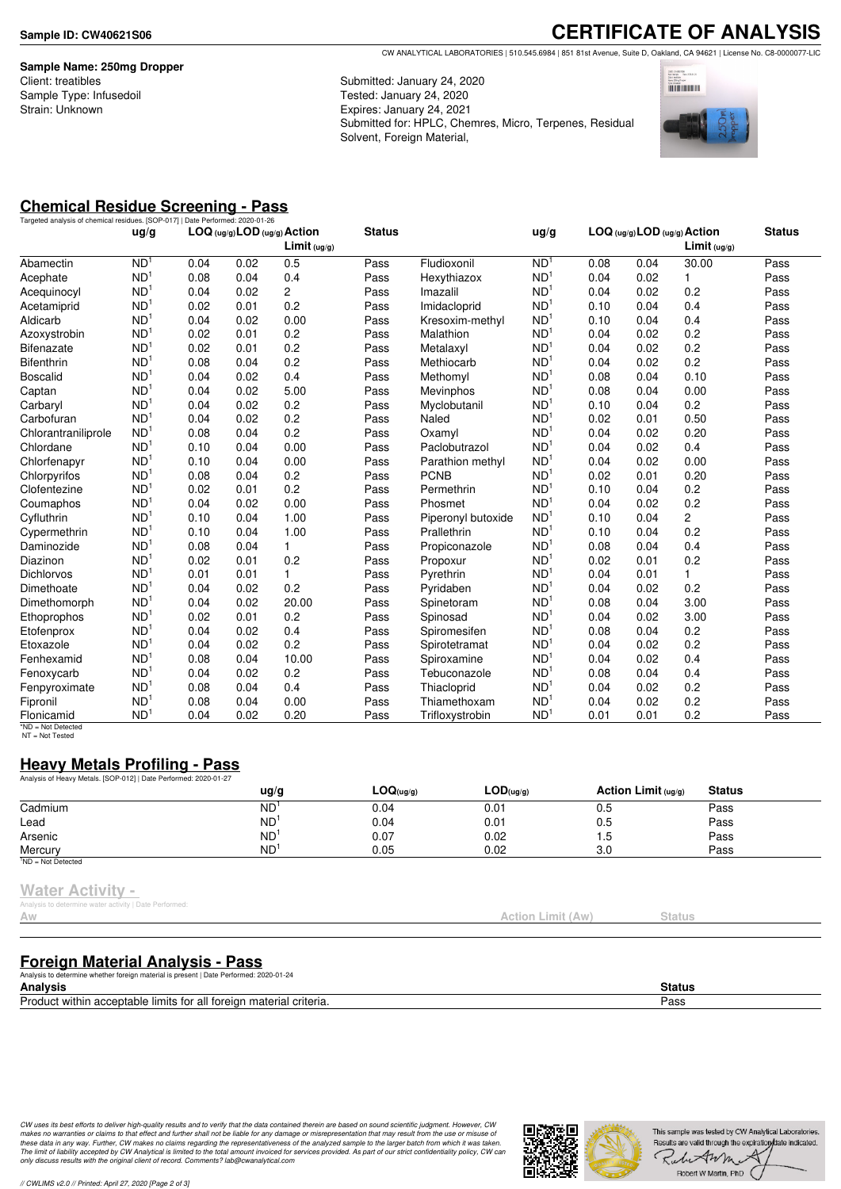**Sample Name: 250mg Dropper** Client: treatibles Sample Type: Infusedoil Strain: Unknown

**CERTIFICATE OF ANALYSIS** CW ANALYTICAL LABORATORIES | 510.545.6984 | 851 81st Avenue, Suite D, Oakland, CA 94621 | License No. C8-0000077-LIC

Submitted: January 24, 2020 Tested: January 24, 2020 Expires: January 24, 2021 Submitted for: HPLC, Chemres, Micro, Terpenes, Residual Solvent, Foreign Material,



# **Chemical Residue Screening - Pass**

| LOG (ug/g) LOD (ug/g) Action<br>LOG (ug/g) LOD (ug/g) Action<br>Limit <sub>(ug/g)</sub><br>Limit (uq/q)<br>ND <sup>1</sup><br>N <sub>D</sub><br>Fludioxonil<br>0.04<br>0.02<br>0.5<br>Pass<br>0.08<br>30.00<br>Abamectin<br>0.04<br>ND <sup>1</sup><br>ND <sup>1</sup><br>0.04<br>0.08<br>0.04<br>0.4<br>0.02<br>1<br>Pass<br>Hexythiazox<br>Acephate<br>ND <sup>1</sup><br>2<br>ND<br>0.02<br>0.04<br>0.02<br>0.2<br>0.04<br>Pass<br>Imazalil<br>Acequinocyl<br>ND <sup>1</sup><br>ND <sup>1</sup><br>0.2<br>0.01<br>0.10<br>0.04<br>0.4<br>0.02<br>Pass<br>Imidacloprid<br>Acetamiprid<br>ND <sup>1</sup><br>ND <sup>1</sup><br>0.02<br>0.00<br>0.10<br>0.04<br>0.4<br>Aldicarb<br>0.04<br>Pass<br>Kresoxim-methyl<br>ND <sup>1</sup><br>ND <sup>1</sup><br>0.2<br>0.04<br>0.2<br>0.02<br>0.01<br>Pass<br>Malathion<br>0.02<br>Azoxystrobin<br>ND <sup>1</sup><br>ND <sup>1</sup><br>0.2<br>0.2<br>0.02<br>0.01<br>0.04<br>0.02<br>Pass<br>Metalaxyl<br><b>Bifenazate</b><br>ND <sup>1</sup><br>ND <sup>1</sup><br>0.2<br>0.2<br>0.04<br><b>Bifenthrin</b><br>0.08<br>0.04<br>0.02<br>Pass<br>Methiocarb<br>ND <sup>1</sup><br>ND <sup>1</sup><br>0.10<br>0.02<br>0.4<br>0.08<br>0.04<br><b>Boscalid</b><br>0.04<br>Pass<br>Methomyl<br>ND <sup>1</sup><br>ND <sup>1</sup><br>0.02<br>5.00<br>0.08<br>0.00<br>0.04<br>0.04<br>Captan<br>Pass<br>Mevinphos<br>ND <sup>1</sup><br>ND <sup>1</sup><br>0.2<br>0.02<br>0.2<br>0.10<br>Carbaryl<br>0.04<br>Pass<br>Myclobutanil<br>0.04<br>ND <sup>1</sup><br>ND <sup>1</sup><br>0.2<br>0.02<br>0.50<br>Carbofuran<br>0.04<br>0.02<br>Pass<br>Naled<br>0.01<br>ND <sup>1</sup><br>0.2<br>ND <sup>1</sup><br>0.04<br>0.20<br>0.08<br>0.04<br>0.02<br>Chlorantraniliprole<br>Pass<br>Oxamyl<br>ND <sup>1</sup><br>ND <sup>1</sup><br>0.00<br>0.04<br>0.02<br>0.4<br>Chlordane<br>0.10<br>0.04<br>Pass<br>Paclobutrazol<br>ND <sup>1</sup><br>ND <sup>1</sup><br>0.00<br>0.00<br>Chlorfenapyr<br>0.04<br>Parathion methyl<br>0.04<br>0.02<br>0.10<br>Pass<br>ND <sup>1</sup><br>ND<br>0.2<br><b>PCNB</b><br>0.02<br>0.20<br>Chlorpyrifos<br>0.08<br>0.04<br>Pass<br>0.01<br>ND <sup>1</sup><br>0.2<br>ND <sup>1</sup><br>0.2<br>0.10<br>Clofentezine<br>0.02<br>0.01<br>Pass<br>Permethrin<br>0.04<br>ND <sup>1</sup><br>ND <sup>1</sup><br>0.2<br>0.00<br>0.04<br>0.04<br>0.02<br>0.02<br>Coumaphos<br>Pass<br>Phosmet<br>ND <sup>1</sup><br>ND <sup>1</sup><br>2<br>1.00<br>0.10<br>Cyfluthrin<br>0.10<br>0.04<br>Piperonyl butoxide<br>0.04<br>Pass<br>ND <sup>1</sup><br>ND <sup>1</sup><br>1.00<br>0.2<br>0.10<br>0.04<br>Prallethrin<br>0.10<br>0.04<br>Cypermethrin<br>Pass<br>ND <sup>1</sup><br>ND <sup>1</sup><br>0.04<br>$\mathbf{1}$<br>0.08<br>0.04<br>0.4<br>Daminozide<br>0.08<br>Pass<br>Propiconazole<br>ND <sup>1</sup><br>ND <sup>1</sup><br>0.2<br>0.02<br>0.2<br>0.02<br>0.01<br>Pass<br>0.01<br>Diazinon<br>Propoxur<br>ND <sup>1</sup><br>ND <sup>1</sup><br>0.01<br>0.04<br>0.01<br><b>Dichlorvos</b><br>0.01<br>1<br>Pass<br>Pyrethrin<br>1 | Targeted analysis of chemical residues. [SOP-017]   Date Performed: 2020-01-26 |                 |  | <b>Status</b> |      |  | <b>Status</b> |
|---------------------------------------------------------------------------------------------------------------------------------------------------------------------------------------------------------------------------------------------------------------------------------------------------------------------------------------------------------------------------------------------------------------------------------------------------------------------------------------------------------------------------------------------------------------------------------------------------------------------------------------------------------------------------------------------------------------------------------------------------------------------------------------------------------------------------------------------------------------------------------------------------------------------------------------------------------------------------------------------------------------------------------------------------------------------------------------------------------------------------------------------------------------------------------------------------------------------------------------------------------------------------------------------------------------------------------------------------------------------------------------------------------------------------------------------------------------------------------------------------------------------------------------------------------------------------------------------------------------------------------------------------------------------------------------------------------------------------------------------------------------------------------------------------------------------------------------------------------------------------------------------------------------------------------------------------------------------------------------------------------------------------------------------------------------------------------------------------------------------------------------------------------------------------------------------------------------------------------------------------------------------------------------------------------------------------------------------------------------------------------------------------------------------------------------------------------------------------------------------------------------------------------------------------------------------------------------------------------------------------------------------------------------------------------------------------------------------------------------------------------------------------------------------------------------------------------------------------------------------------------------------------------------------------------------------------------------------------------------------------------------|--------------------------------------------------------------------------------|-----------------|--|---------------|------|--|---------------|
|                                                                                                                                                                                                                                                                                                                                                                                                                                                                                                                                                                                                                                                                                                                                                                                                                                                                                                                                                                                                                                                                                                                                                                                                                                                                                                                                                                                                                                                                                                                                                                                                                                                                                                                                                                                                                                                                                                                                                                                                                                                                                                                                                                                                                                                                                                                                                                                                                                                                                                                                                                                                                                                                                                                                                                                                                                                                                                                                                                                                               |                                                                                | ug/g            |  |               | ug/g |  |               |
|                                                                                                                                                                                                                                                                                                                                                                                                                                                                                                                                                                                                                                                                                                                                                                                                                                                                                                                                                                                                                                                                                                                                                                                                                                                                                                                                                                                                                                                                                                                                                                                                                                                                                                                                                                                                                                                                                                                                                                                                                                                                                                                                                                                                                                                                                                                                                                                                                                                                                                                                                                                                                                                                                                                                                                                                                                                                                                                                                                                                               |                                                                                |                 |  |               |      |  | Pass          |
|                                                                                                                                                                                                                                                                                                                                                                                                                                                                                                                                                                                                                                                                                                                                                                                                                                                                                                                                                                                                                                                                                                                                                                                                                                                                                                                                                                                                                                                                                                                                                                                                                                                                                                                                                                                                                                                                                                                                                                                                                                                                                                                                                                                                                                                                                                                                                                                                                                                                                                                                                                                                                                                                                                                                                                                                                                                                                                                                                                                                               |                                                                                |                 |  |               |      |  | Pass          |
|                                                                                                                                                                                                                                                                                                                                                                                                                                                                                                                                                                                                                                                                                                                                                                                                                                                                                                                                                                                                                                                                                                                                                                                                                                                                                                                                                                                                                                                                                                                                                                                                                                                                                                                                                                                                                                                                                                                                                                                                                                                                                                                                                                                                                                                                                                                                                                                                                                                                                                                                                                                                                                                                                                                                                                                                                                                                                                                                                                                                               |                                                                                |                 |  |               |      |  | Pass          |
|                                                                                                                                                                                                                                                                                                                                                                                                                                                                                                                                                                                                                                                                                                                                                                                                                                                                                                                                                                                                                                                                                                                                                                                                                                                                                                                                                                                                                                                                                                                                                                                                                                                                                                                                                                                                                                                                                                                                                                                                                                                                                                                                                                                                                                                                                                                                                                                                                                                                                                                                                                                                                                                                                                                                                                                                                                                                                                                                                                                                               |                                                                                |                 |  |               |      |  | Pass          |
|                                                                                                                                                                                                                                                                                                                                                                                                                                                                                                                                                                                                                                                                                                                                                                                                                                                                                                                                                                                                                                                                                                                                                                                                                                                                                                                                                                                                                                                                                                                                                                                                                                                                                                                                                                                                                                                                                                                                                                                                                                                                                                                                                                                                                                                                                                                                                                                                                                                                                                                                                                                                                                                                                                                                                                                                                                                                                                                                                                                                               |                                                                                |                 |  |               |      |  | Pass          |
|                                                                                                                                                                                                                                                                                                                                                                                                                                                                                                                                                                                                                                                                                                                                                                                                                                                                                                                                                                                                                                                                                                                                                                                                                                                                                                                                                                                                                                                                                                                                                                                                                                                                                                                                                                                                                                                                                                                                                                                                                                                                                                                                                                                                                                                                                                                                                                                                                                                                                                                                                                                                                                                                                                                                                                                                                                                                                                                                                                                                               |                                                                                |                 |  |               |      |  | Pass          |
|                                                                                                                                                                                                                                                                                                                                                                                                                                                                                                                                                                                                                                                                                                                                                                                                                                                                                                                                                                                                                                                                                                                                                                                                                                                                                                                                                                                                                                                                                                                                                                                                                                                                                                                                                                                                                                                                                                                                                                                                                                                                                                                                                                                                                                                                                                                                                                                                                                                                                                                                                                                                                                                                                                                                                                                                                                                                                                                                                                                                               |                                                                                |                 |  |               |      |  | Pass          |
|                                                                                                                                                                                                                                                                                                                                                                                                                                                                                                                                                                                                                                                                                                                                                                                                                                                                                                                                                                                                                                                                                                                                                                                                                                                                                                                                                                                                                                                                                                                                                                                                                                                                                                                                                                                                                                                                                                                                                                                                                                                                                                                                                                                                                                                                                                                                                                                                                                                                                                                                                                                                                                                                                                                                                                                                                                                                                                                                                                                                               |                                                                                |                 |  |               |      |  | Pass          |
|                                                                                                                                                                                                                                                                                                                                                                                                                                                                                                                                                                                                                                                                                                                                                                                                                                                                                                                                                                                                                                                                                                                                                                                                                                                                                                                                                                                                                                                                                                                                                                                                                                                                                                                                                                                                                                                                                                                                                                                                                                                                                                                                                                                                                                                                                                                                                                                                                                                                                                                                                                                                                                                                                                                                                                                                                                                                                                                                                                                                               |                                                                                |                 |  |               |      |  | Pass          |
|                                                                                                                                                                                                                                                                                                                                                                                                                                                                                                                                                                                                                                                                                                                                                                                                                                                                                                                                                                                                                                                                                                                                                                                                                                                                                                                                                                                                                                                                                                                                                                                                                                                                                                                                                                                                                                                                                                                                                                                                                                                                                                                                                                                                                                                                                                                                                                                                                                                                                                                                                                                                                                                                                                                                                                                                                                                                                                                                                                                                               |                                                                                |                 |  |               |      |  | Pass          |
|                                                                                                                                                                                                                                                                                                                                                                                                                                                                                                                                                                                                                                                                                                                                                                                                                                                                                                                                                                                                                                                                                                                                                                                                                                                                                                                                                                                                                                                                                                                                                                                                                                                                                                                                                                                                                                                                                                                                                                                                                                                                                                                                                                                                                                                                                                                                                                                                                                                                                                                                                                                                                                                                                                                                                                                                                                                                                                                                                                                                               |                                                                                |                 |  |               |      |  | Pass          |
|                                                                                                                                                                                                                                                                                                                                                                                                                                                                                                                                                                                                                                                                                                                                                                                                                                                                                                                                                                                                                                                                                                                                                                                                                                                                                                                                                                                                                                                                                                                                                                                                                                                                                                                                                                                                                                                                                                                                                                                                                                                                                                                                                                                                                                                                                                                                                                                                                                                                                                                                                                                                                                                                                                                                                                                                                                                                                                                                                                                                               |                                                                                |                 |  |               |      |  | Pass          |
|                                                                                                                                                                                                                                                                                                                                                                                                                                                                                                                                                                                                                                                                                                                                                                                                                                                                                                                                                                                                                                                                                                                                                                                                                                                                                                                                                                                                                                                                                                                                                                                                                                                                                                                                                                                                                                                                                                                                                                                                                                                                                                                                                                                                                                                                                                                                                                                                                                                                                                                                                                                                                                                                                                                                                                                                                                                                                                                                                                                                               |                                                                                |                 |  |               |      |  | Pass          |
|                                                                                                                                                                                                                                                                                                                                                                                                                                                                                                                                                                                                                                                                                                                                                                                                                                                                                                                                                                                                                                                                                                                                                                                                                                                                                                                                                                                                                                                                                                                                                                                                                                                                                                                                                                                                                                                                                                                                                                                                                                                                                                                                                                                                                                                                                                                                                                                                                                                                                                                                                                                                                                                                                                                                                                                                                                                                                                                                                                                                               |                                                                                |                 |  |               |      |  | Pass          |
|                                                                                                                                                                                                                                                                                                                                                                                                                                                                                                                                                                                                                                                                                                                                                                                                                                                                                                                                                                                                                                                                                                                                                                                                                                                                                                                                                                                                                                                                                                                                                                                                                                                                                                                                                                                                                                                                                                                                                                                                                                                                                                                                                                                                                                                                                                                                                                                                                                                                                                                                                                                                                                                                                                                                                                                                                                                                                                                                                                                                               |                                                                                |                 |  |               |      |  | Pass          |
|                                                                                                                                                                                                                                                                                                                                                                                                                                                                                                                                                                                                                                                                                                                                                                                                                                                                                                                                                                                                                                                                                                                                                                                                                                                                                                                                                                                                                                                                                                                                                                                                                                                                                                                                                                                                                                                                                                                                                                                                                                                                                                                                                                                                                                                                                                                                                                                                                                                                                                                                                                                                                                                                                                                                                                                                                                                                                                                                                                                                               |                                                                                |                 |  |               |      |  | Pass          |
|                                                                                                                                                                                                                                                                                                                                                                                                                                                                                                                                                                                                                                                                                                                                                                                                                                                                                                                                                                                                                                                                                                                                                                                                                                                                                                                                                                                                                                                                                                                                                                                                                                                                                                                                                                                                                                                                                                                                                                                                                                                                                                                                                                                                                                                                                                                                                                                                                                                                                                                                                                                                                                                                                                                                                                                                                                                                                                                                                                                                               |                                                                                |                 |  |               |      |  | Pass          |
|                                                                                                                                                                                                                                                                                                                                                                                                                                                                                                                                                                                                                                                                                                                                                                                                                                                                                                                                                                                                                                                                                                                                                                                                                                                                                                                                                                                                                                                                                                                                                                                                                                                                                                                                                                                                                                                                                                                                                                                                                                                                                                                                                                                                                                                                                                                                                                                                                                                                                                                                                                                                                                                                                                                                                                                                                                                                                                                                                                                                               |                                                                                |                 |  |               |      |  | Pass          |
|                                                                                                                                                                                                                                                                                                                                                                                                                                                                                                                                                                                                                                                                                                                                                                                                                                                                                                                                                                                                                                                                                                                                                                                                                                                                                                                                                                                                                                                                                                                                                                                                                                                                                                                                                                                                                                                                                                                                                                                                                                                                                                                                                                                                                                                                                                                                                                                                                                                                                                                                                                                                                                                                                                                                                                                                                                                                                                                                                                                                               |                                                                                |                 |  |               |      |  | Pass          |
|                                                                                                                                                                                                                                                                                                                                                                                                                                                                                                                                                                                                                                                                                                                                                                                                                                                                                                                                                                                                                                                                                                                                                                                                                                                                                                                                                                                                                                                                                                                                                                                                                                                                                                                                                                                                                                                                                                                                                                                                                                                                                                                                                                                                                                                                                                                                                                                                                                                                                                                                                                                                                                                                                                                                                                                                                                                                                                                                                                                                               |                                                                                |                 |  |               |      |  | Pass          |
|                                                                                                                                                                                                                                                                                                                                                                                                                                                                                                                                                                                                                                                                                                                                                                                                                                                                                                                                                                                                                                                                                                                                                                                                                                                                                                                                                                                                                                                                                                                                                                                                                                                                                                                                                                                                                                                                                                                                                                                                                                                                                                                                                                                                                                                                                                                                                                                                                                                                                                                                                                                                                                                                                                                                                                                                                                                                                                                                                                                                               |                                                                                |                 |  |               |      |  | Pass          |
|                                                                                                                                                                                                                                                                                                                                                                                                                                                                                                                                                                                                                                                                                                                                                                                                                                                                                                                                                                                                                                                                                                                                                                                                                                                                                                                                                                                                                                                                                                                                                                                                                                                                                                                                                                                                                                                                                                                                                                                                                                                                                                                                                                                                                                                                                                                                                                                                                                                                                                                                                                                                                                                                                                                                                                                                                                                                                                                                                                                                               |                                                                                |                 |  |               |      |  | Pass          |
|                                                                                                                                                                                                                                                                                                                                                                                                                                                                                                                                                                                                                                                                                                                                                                                                                                                                                                                                                                                                                                                                                                                                                                                                                                                                                                                                                                                                                                                                                                                                                                                                                                                                                                                                                                                                                                                                                                                                                                                                                                                                                                                                                                                                                                                                                                                                                                                                                                                                                                                                                                                                                                                                                                                                                                                                                                                                                                                                                                                                               |                                                                                |                 |  |               |      |  | Pass          |
| ND <sup>1</sup><br>0.02<br>0.2<br>0.04<br>0.2<br>Dimethoate<br>0.04<br>Pass<br>0.02<br>Pyridaben                                                                                                                                                                                                                                                                                                                                                                                                                                                                                                                                                                                                                                                                                                                                                                                                                                                                                                                                                                                                                                                                                                                                                                                                                                                                                                                                                                                                                                                                                                                                                                                                                                                                                                                                                                                                                                                                                                                                                                                                                                                                                                                                                                                                                                                                                                                                                                                                                                                                                                                                                                                                                                                                                                                                                                                                                                                                                                              |                                                                                | ND <sup>1</sup> |  |               |      |  | Pass          |
| ND <sup>1</sup><br>ND <sup>1</sup><br>0.08<br>3.00<br>0.02<br>20.00<br>0.04<br>Dimethomorph<br>0.04<br>Pass<br>Spinetoram                                                                                                                                                                                                                                                                                                                                                                                                                                                                                                                                                                                                                                                                                                                                                                                                                                                                                                                                                                                                                                                                                                                                                                                                                                                                                                                                                                                                                                                                                                                                                                                                                                                                                                                                                                                                                                                                                                                                                                                                                                                                                                                                                                                                                                                                                                                                                                                                                                                                                                                                                                                                                                                                                                                                                                                                                                                                                     |                                                                                |                 |  |               |      |  | Pass          |
| ND <sup>1</sup><br>ND <sup>1</sup><br>0.2<br>0.04<br>3.00<br>0.02<br>0.01<br>Pass<br>0.02<br>Ethoprophos<br>Spinosad                                                                                                                                                                                                                                                                                                                                                                                                                                                                                                                                                                                                                                                                                                                                                                                                                                                                                                                                                                                                                                                                                                                                                                                                                                                                                                                                                                                                                                                                                                                                                                                                                                                                                                                                                                                                                                                                                                                                                                                                                                                                                                                                                                                                                                                                                                                                                                                                                                                                                                                                                                                                                                                                                                                                                                                                                                                                                          |                                                                                |                 |  |               |      |  | Pass          |
| ND <sup>1</sup><br>ND <sup>1</sup><br>0.08<br>0.2<br>0.04<br>0.02<br>0.4<br>0.04<br>Etofenprox<br>Pass<br>Spiromesifen                                                                                                                                                                                                                                                                                                                                                                                                                                                                                                                                                                                                                                                                                                                                                                                                                                                                                                                                                                                                                                                                                                                                                                                                                                                                                                                                                                                                                                                                                                                                                                                                                                                                                                                                                                                                                                                                                                                                                                                                                                                                                                                                                                                                                                                                                                                                                                                                                                                                                                                                                                                                                                                                                                                                                                                                                                                                                        |                                                                                |                 |  |               |      |  | Pass          |
| ND <sup>1</sup><br>ND <sup>1</sup><br>0.02<br>0.2<br>0.04<br>0.02<br>0.2<br>Etoxazole<br>0.04<br>Pass<br>Spirotetramat                                                                                                                                                                                                                                                                                                                                                                                                                                                                                                                                                                                                                                                                                                                                                                                                                                                                                                                                                                                                                                                                                                                                                                                                                                                                                                                                                                                                                                                                                                                                                                                                                                                                                                                                                                                                                                                                                                                                                                                                                                                                                                                                                                                                                                                                                                                                                                                                                                                                                                                                                                                                                                                                                                                                                                                                                                                                                        |                                                                                |                 |  |               |      |  | Pass          |
| ND <sup>1</sup><br>ND <sup>1</sup><br>10.00<br>0.4<br>0.08<br>0.04<br>0.04<br>0.02<br>Fenhexamid<br>Pass<br>Spiroxamine                                                                                                                                                                                                                                                                                                                                                                                                                                                                                                                                                                                                                                                                                                                                                                                                                                                                                                                                                                                                                                                                                                                                                                                                                                                                                                                                                                                                                                                                                                                                                                                                                                                                                                                                                                                                                                                                                                                                                                                                                                                                                                                                                                                                                                                                                                                                                                                                                                                                                                                                                                                                                                                                                                                                                                                                                                                                                       |                                                                                |                 |  |               |      |  | Pass          |
| ND <sup>1</sup><br>0.2<br>ND <sup>1</sup><br>0.02<br>0.08<br>0.04<br>0.4<br>0.04<br>Pass<br>Tebuconazole<br>Fenoxycarb                                                                                                                                                                                                                                                                                                                                                                                                                                                                                                                                                                                                                                                                                                                                                                                                                                                                                                                                                                                                                                                                                                                                                                                                                                                                                                                                                                                                                                                                                                                                                                                                                                                                                                                                                                                                                                                                                                                                                                                                                                                                                                                                                                                                                                                                                                                                                                                                                                                                                                                                                                                                                                                                                                                                                                                                                                                                                        |                                                                                |                 |  |               |      |  | Pass          |
| ND <sup>1</sup><br>ND <sup>1</sup><br>0.4<br>0.04<br>0.2<br>0.08<br>0.04<br>0.02<br>Pass<br>Thiacloprid<br>Fenpyroximate                                                                                                                                                                                                                                                                                                                                                                                                                                                                                                                                                                                                                                                                                                                                                                                                                                                                                                                                                                                                                                                                                                                                                                                                                                                                                                                                                                                                                                                                                                                                                                                                                                                                                                                                                                                                                                                                                                                                                                                                                                                                                                                                                                                                                                                                                                                                                                                                                                                                                                                                                                                                                                                                                                                                                                                                                                                                                      |                                                                                |                 |  |               |      |  | Pass          |
| ND <sup>1</sup><br>ND <sup>1</sup><br>0.2<br>0.04<br>0.00<br>0.04<br>0.02<br>0.08<br>Pass<br>Thiamethoxam<br>Fipronil                                                                                                                                                                                                                                                                                                                                                                                                                                                                                                                                                                                                                                                                                                                                                                                                                                                                                                                                                                                                                                                                                                                                                                                                                                                                                                                                                                                                                                                                                                                                                                                                                                                                                                                                                                                                                                                                                                                                                                                                                                                                                                                                                                                                                                                                                                                                                                                                                                                                                                                                                                                                                                                                                                                                                                                                                                                                                         |                                                                                |                 |  |               |      |  | Pass          |
| ND <sup>1</sup><br>ND <sup>1</sup><br>0.2<br>0.02<br>0.04<br>0.20<br>0.01<br>0.01<br>Flonicamid<br>Pass<br>Trifloxystrobin                                                                                                                                                                                                                                                                                                                                                                                                                                                                                                                                                                                                                                                                                                                                                                                                                                                                                                                                                                                                                                                                                                                                                                                                                                                                                                                                                                                                                                                                                                                                                                                                                                                                                                                                                                                                                                                                                                                                                                                                                                                                                                                                                                                                                                                                                                                                                                                                                                                                                                                                                                                                                                                                                                                                                                                                                                                                                    |                                                                                |                 |  |               |      |  | Pass          |

NT = Not Tested

# **Heavy Metals Profiling - Pass**

| Analysis of Heavy Metals. [SOP-012]   Date Performed: 2020-01-27 |                 |           |                               |                        |               |  |
|------------------------------------------------------------------|-----------------|-----------|-------------------------------|------------------------|---------------|--|
|                                                                  | ug/g            | LOQ(ug/g) | $\mathsf{LOD}(\mathsf{ug/g})$ | Action Limit $( uq/q)$ | <b>Status</b> |  |
| Cadmium                                                          | ND <sup>1</sup> | 0.04      | 0.01                          | 0.5                    | Pass          |  |
| Lead                                                             | ND <sup>1</sup> | 0.04      | 0.01                          | 0.5                    | Pass          |  |
| Arsenic                                                          | ND <sup>1</sup> | 0.07      | 0.02                          | 1.5                    | Pass          |  |
| Mercury                                                          | ND <sup>1</sup> | 0.05      | 0.02                          | 3.0                    | Pass          |  |
| <sup>1</sup> ND = Not Detected                                   |                 |           |                               |                        |               |  |

#### **Water Activity -**

is to determine water activity | Date Performed:

# **Foreign Material Analysis - Pass**

| Analysis to determine whether foreign material is present   Date Performed: 2020-01-24 |               |
|----------------------------------------------------------------------------------------|---------------|
| <b>Analysis</b>                                                                        | <b>Status</b> |
| Product within acceptable limits for all foreign material criteria.                    | Pass          |
|                                                                                        |               |

CW uses its best efforts to deliver high-quality results and to verify that the data contained therein are based on sound scientific judgment. However, CW<br>makes no warranties or claims to that effect and further shall not *only discuss results with the original client of record. Comments? lab@cwanalytical.com*



Action Limit (Aw) Status